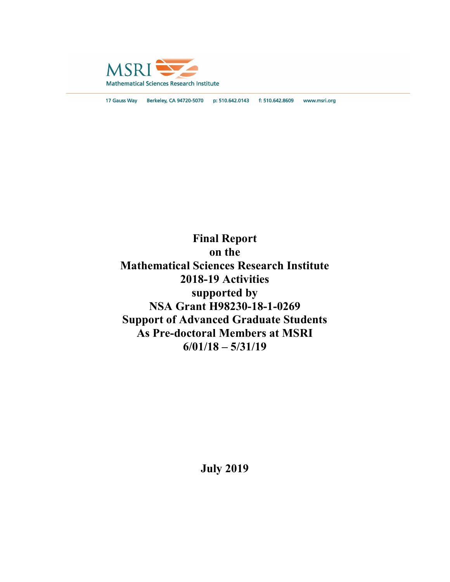

17 Gauss Way Berkeley, CA 94720-5070 p: 510.642.0143 f: 510.642.8609 www.msri.org

Final Report on the Mathematical Sciences Research Institute 2018-19 Activities supported by NSA Grant H98230-18-1-0269 Support of Advanced Graduate Students As Pre-doctoral Members at MSRI 6/01/18 – 5/31/19

July 2019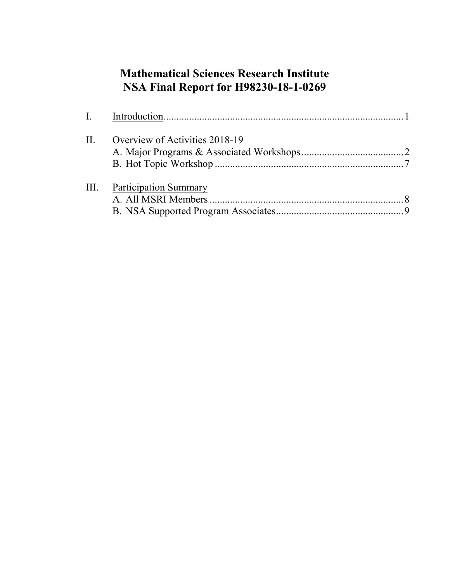# Mathematical Sciences Research Institute NSA Final Report for H98230-18-1-0269

| II.  | Overview of Activities 2018-19 |  |
|------|--------------------------------|--|
| III. | Participation Summary          |  |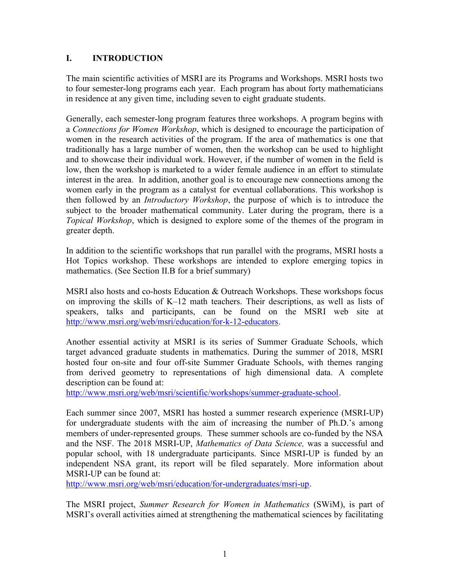# I. INTRODUCTION

The main scientific activities of MSRI are its Programs and Workshops. MSRI hosts two to four semester-long programs each year. Each program has about forty mathematicians in residence at any given time, including seven to eight graduate students.

Generally, each semester-long program features three workshops. A program begins with a Connections for Women Workshop, which is designed to encourage the participation of women in the research activities of the program. If the area of mathematics is one that traditionally has a large number of women, then the workshop can be used to highlight and to showcase their individual work. However, if the number of women in the field is low, then the workshop is marketed to a wider female audience in an effort to stimulate interest in the area. In addition, another goal is to encourage new connections among the women early in the program as a catalyst for eventual collaborations. This workshop is then followed by an *Introductory Workshop*, the purpose of which is to introduce the subject to the broader mathematical community. Later during the program, there is a Topical Workshop, which is designed to explore some of the themes of the program in greater depth.

In addition to the scientific workshops that run parallel with the programs, MSRI hosts a Hot Topics workshop. These workshops are intended to explore emerging topics in mathematics. (See Section II.B for a brief summary)

MSRI also hosts and co-hosts Education & Outreach Workshops. These workshops focus on improving the skills of K–12 math teachers. Their descriptions, as well as lists of speakers, talks and participants, can be found on the MSRI web site at http://www.msri.org/web/msri/education/for-k-12-educators.

Another essential activity at MSRI is its series of Summer Graduate Schools, which target advanced graduate students in mathematics. During the summer of 2018, MSRI hosted four on-site and four off-site Summer Graduate Schools, with themes ranging from derived geometry to representations of high dimensional data. A complete description can be found at:

http://www.msri.org/web/msri/scientific/workshops/summer-graduate-school.

Each summer since 2007, MSRI has hosted a summer research experience (MSRI-UP) for undergraduate students with the aim of increasing the number of Ph.D.'s among members of under-represented groups. These summer schools are co-funded by the NSA and the NSF. The 2018 MSRI-UP, *Mathematics of Data Science*, was a successful and popular school, with 18 undergraduate participants. Since MSRI-UP is funded by an independent NSA grant, its report will be filed separately. More information about MSRI-UP can be found at:

http://www.msri.org/web/msri/education/for-undergraduates/msri-up.

The MSRI project, Summer Research for Women in Mathematics (SWiM), is part of MSRI's overall activities aimed at strengthening the mathematical sciences by facilitating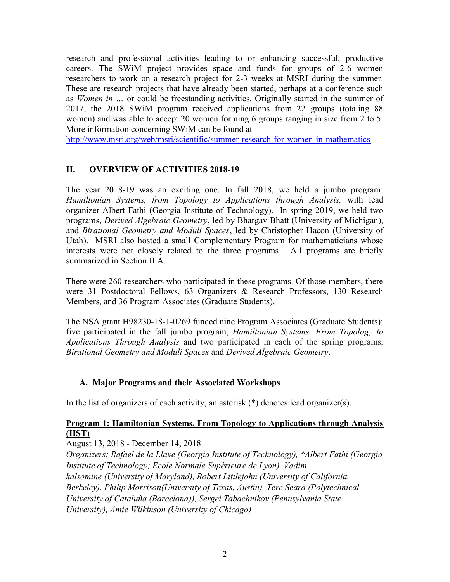research and professional activities leading to or enhancing successful, productive careers. The SWiM project provides space and funds for groups of 2-6 women researchers to work on a research project for 2-3 weeks at MSRI during the summer. These are research projects that have already been started, perhaps at a conference such as Women in … or could be freestanding activities. Originally started in the summer of 2017, the 2018 SWiM program received applications from 22 groups (totaling 88 women) and was able to accept 20 women forming 6 groups ranging in size from 2 to 5. More information concerning SWiM can be found at

http://www.msri.org/web/msri/scientific/summer-research-for-women-in-mathematics

# II. OVERVIEW OF ACTIVITIES 2018-19

The year 2018-19 was an exciting one. In fall 2018, we held a jumbo program: Hamiltonian Systems, from Topology to Applications through Analysis, with lead organizer Albert Fathi (Georgia Institute of Technology). In spring 2019, we held two programs, Derived Algebraic Geometry, led by Bhargav Bhatt (University of Michigan), and Birational Geometry and Moduli Spaces, led by Christopher Hacon (University of Utah). MSRI also hosted a small Complementary Program for mathematicians whose interests were not closely related to the three programs. All programs are briefly summarized in Section II.A.

There were 260 researchers who participated in these programs. Of those members, there were 31 Postdoctoral Fellows, 63 Organizers & Research Professors, 130 Research Members, and 36 Program Associates (Graduate Students).

The NSA grant H98230-18-1-0269 funded nine Program Associates (Graduate Students): five participated in the fall jumbo program, Hamiltonian Systems: From Topology to Applications Through Analysis and two participated in each of the spring programs, Birational Geometry and Moduli Spaces and Derived Algebraic Geometry.

# A. Major Programs and their Associated Workshops

In the list of organizers of each activity, an asterisk (\*) denotes lead organizer(s).

# Program 1: Hamiltonian Systems, From Topology to Applications through Analysis (HST)

August 13, 2018 - December 14, 2018

Organizers: Rafael de la Llave (Georgia Institute of Technology), \*Albert Fathi (Georgia Institute of Technology; École Normale Supérieure de Lyon), Vadim kalsomine (University of Maryland), Robert Littlejohn (University of California, Berkeley), Philip Morrison(University of Texas, Austin), Tere Seara (Polytechnical University of Cataluña (Barcelona)), Sergei Tabachnikov (Pennsylvania State University), Amie Wilkinson (University of Chicago)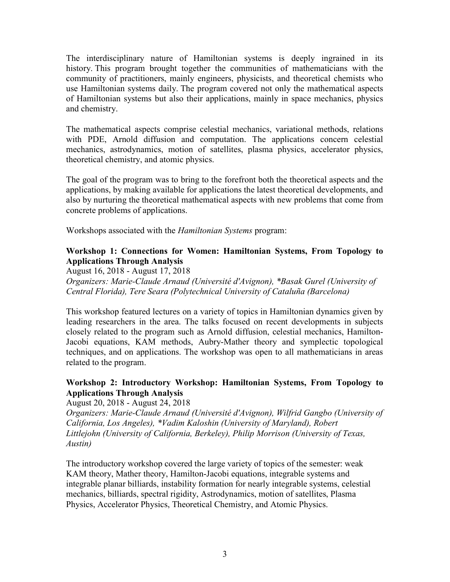The interdisciplinary nature of Hamiltonian systems is deeply ingrained in its history. This program brought together the communities of mathematicians with the community of practitioners, mainly engineers, physicists, and theoretical chemists who use Hamiltonian systems daily. The program covered not only the mathematical aspects of Hamiltonian systems but also their applications, mainly in space mechanics, physics and chemistry.

The mathematical aspects comprise celestial mechanics, variational methods, relations with PDE, Arnold diffusion and computation. The applications concern celestial mechanics, astrodynamics, motion of satellites, plasma physics, accelerator physics, theoretical chemistry, and atomic physics.

The goal of the program was to bring to the forefront both the theoretical aspects and the applications, by making available for applications the latest theoretical developments, and also by nurturing the theoretical mathematical aspects with new problems that come from concrete problems of applications.

Workshops associated with the Hamiltonian Systems program:

# Workshop 1: Connections for Women: Hamiltonian Systems, From Topology to Applications Through Analysis

August 16, 2018 - August 17, 2018

Organizers: Marie-Claude Arnaud (Université d'Avignon), \*Basak Gurel (University of Central Florida), Tere Seara (Polytechnical University of Cataluña (Barcelona)

This workshop featured lectures on a variety of topics in Hamiltonian dynamics given by leading researchers in the area. The talks focused on recent developments in subjects closely related to the program such as Arnold diffusion, celestial mechanics, Hamilton-Jacobi equations, KAM methods, Aubry-Mather theory and symplectic topological techniques, and on applications. The workshop was open to all mathematicians in areas related to the program.

# Workshop 2: Introductory Workshop: Hamiltonian Systems, From Topology to Applications Through Analysis

August 20, 2018 - August 24, 2018

Organizers: Marie-Claude Arnaud (Université d'Avignon), Wilfrid Gangbo (University of California, Los Angeles), \*Vadim Kaloshin (University of Maryland), Robert Littlejohn (University of California, Berkeley), Philip Morrison (University of Texas, Austin)

The introductory workshop covered the large variety of topics of the semester: weak KAM theory, Mather theory, Hamilton-Jacobi equations, integrable systems and integrable planar billiards, instability formation for nearly integrable systems, celestial mechanics, billiards, spectral rigidity, Astrodynamics, motion of satellites, Plasma Physics, Accelerator Physics, Theoretical Chemistry, and Atomic Physics.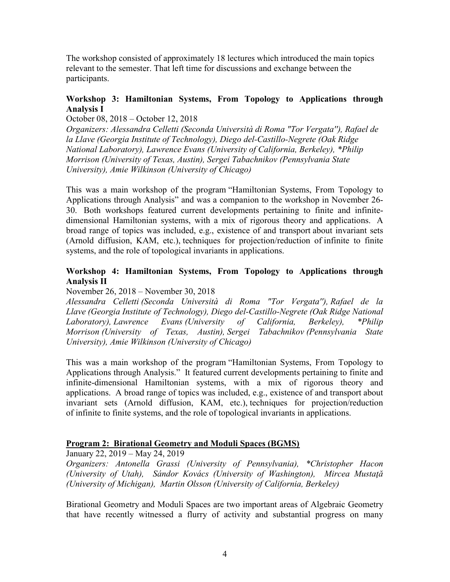The workshop consisted of approximately 18 lectures which introduced the main topics relevant to the semester. That left time for discussions and exchange between the participants.

# Workshop 3: Hamiltonian Systems, From Topology to Applications through Analysis I

October 08, 2018 – October 12, 2018

Organizers: Alessandra Celletti (Seconda Università di Roma "Tor Vergata''), Rafael de la Llave (Georgia Institute of Technology), Diego del-Castillo-Negrete (Oak Ridge National Laboratory), Lawrence Evans (University of California, Berkeley), \*Philip Morrison (University of Texas, Austin), Sergei Tabachnikov (Pennsylvania State University), Amie Wilkinson (University of Chicago)

This was a main workshop of the program "Hamiltonian Systems, From Topology to Applications through Analysis" and was a companion to the workshop in November 26- 30. Both workshops featured current developments pertaining to finite and infinitedimensional Hamiltonian systems, with a mix of rigorous theory and applications. A broad range of topics was included, e.g., existence of and transport about invariant sets (Arnold diffusion, KAM, etc.), techniques for projection/reduction of infinite to finite systems, and the role of topological invariants in applications.

# Workshop 4: Hamiltonian Systems, From Topology to Applications through Analysis II

### November 26, 2018 – November 30, 2018

Alessandra Celletti (Seconda Università di Roma "Tor Vergata''), Rafael de la Llave (Georgia Institute of Technology), Diego del-Castillo-Negrete (Oak Ridge National Laboratory), Lawrence Evans (University of California, Berkeley), \*Philip Morrison (University of Texas, Austin), Sergei Tabachnikov (Pennsylvania State University), Amie Wilkinson (University of Chicago)

This was a main workshop of the program "Hamiltonian Systems, From Topology to Applications through Analysis." It featured current developments pertaining to finite and infinite-dimensional Hamiltonian systems, with a mix of rigorous theory and applications. A broad range of topics was included, e.g., existence of and transport about invariant sets (Arnold diffusion, KAM, etc.), techniques for projection/reduction of infinite to finite systems, and the role of topological invariants in applications.

### Program 2: Birational Geometry and Moduli Spaces (BGMS)

January 22, 2019 – May 24, 2019

Organizers: Antonella Grassi (University of Pennsylvania), \*Christopher Hacon (University of Utah), Sándor Kovács (University of Washington), Mircea Mustaţă (University of Michigan), Martin Olsson (University of California, Berkeley)

Birational Geometry and Moduli Spaces are two important areas of Algebraic Geometry that have recently witnessed a flurry of activity and substantial progress on many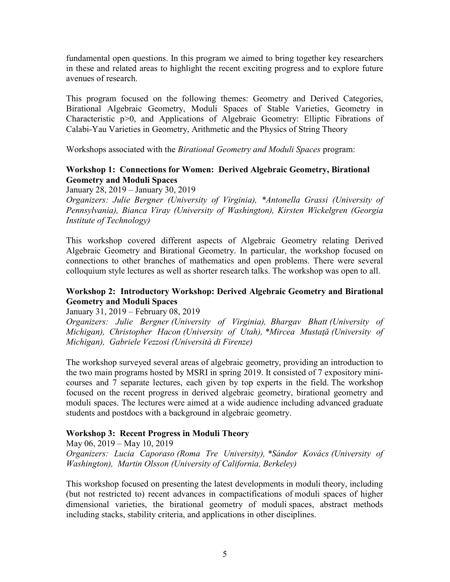fundamental open questions. In this program we aimed to bring together key researchers in these and related areas to highlight the recent exciting progress and to explore future avenues of research.

This program focused on the following themes: Geometry and Derived Categories, Birational Algebraic Geometry, Moduli Spaces of Stable Varieties, Geometry in Characteristic p>0, and Applications of Algebraic Geometry: Elliptic Fibrations of Calabi-Yau Varieties in Geometry, Arithmetic and the Physics of String Theory

Workshops associated with the Birational Geometry and Moduli Spaces program:

# Workshop 1: Connections for Women: Derived Algebraic Geometry, Birational Geometry and Moduli Spaces

January 28, 2019 – January 30, 2019

Organizers: Julie Bergner (University of Virginia), \*Antonella Grassi (University of Pennsylvania), Bianca Viray (University of Washington), Kirsten Wickelgren (Georgia Institute of Technology)

This workshop covered different aspects of Algebraic Geometry relating Derived Algebraic Geometry and Birational Geometry. In particular, the workshop focused on connections to other branches of mathematics and open problems. There were several colloquium style lectures as well as shorter research talks. The workshop was open to all.

# Workshop 2: Introductory Workshop: Derived Algebraic Geometry and Birational Geometry and Moduli Spaces

January 31, 2019 – February 08, 2019

Organizers: Julie Bergner (University of Virginia), Bhargav Bhatt (University of Michigan), Christopher Hacon (University of Utah), \*Mircea Mustată (University of Michigan), Gabriele Vezzosi (Università di Firenze)

The workshop surveyed several areas of algebraic geometry, providing an introduction to the two main programs hosted by MSRI in spring 2019. It consisted of 7 expository minicourses and 7 separate lectures, each given by top experts in the field. The workshop focused on the recent progress in derived algebraic geometry, birational geometry and moduli spaces. The lectures were aimed at a wide audience including advanced graduate students and postdocs with a background in algebraic geometry.

### Workshop 3: Recent Progress in Moduli Theory

May 06, 2019 – May 10, 2019 Organizers: Lucia Caporaso (Roma Tre University), \*Sándor Kovács (University of Washington), Martin Olsson (University of California, Berkeley)

This workshop focused on presenting the latest developments in moduli theory, including (but not restricted to) recent advances in compactifications of moduli spaces of higher dimensional varieties, the birational geometry of moduli spaces, abstract methods including stacks, stability criteria, and applications in other disciplines.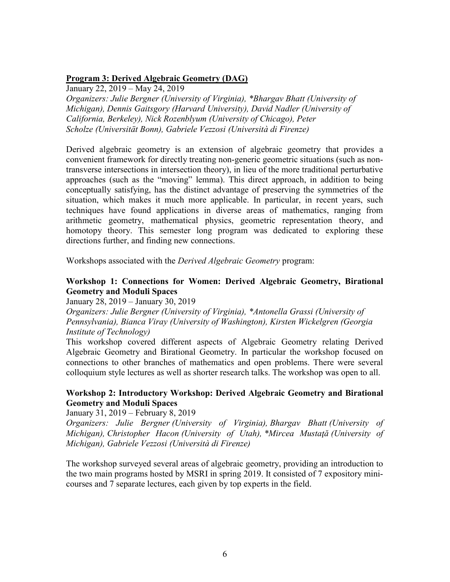# Program 3: Derived Algebraic Geometry (DAG)

January 22, 2019 – May 24, 2019

Organizers: Julie Bergner (University of Virginia), \*Bhargav Bhatt (University of Michigan), Dennis Gaitsgory (Harvard University), David Nadler (University of California, Berkeley), Nick Rozenblyum (University of Chicago), Peter Scholze (Universität Bonn), Gabriele Vezzosi (Università di Firenze)

Derived algebraic geometry is an extension of algebraic geometry that provides a convenient framework for directly treating non-generic geometric situations (such as nontransverse intersections in intersection theory), in lieu of the more traditional perturbative approaches (such as the "moving" lemma). This direct approach, in addition to being conceptually satisfying, has the distinct advantage of preserving the symmetries of the situation, which makes it much more applicable. In particular, in recent years, such techniques have found applications in diverse areas of mathematics, ranging from arithmetic geometry, mathematical physics, geometric representation theory, and homotopy theory. This semester long program was dedicated to exploring these directions further, and finding new connections.

Workshops associated with the Derived Algebraic Geometry program:

# Workshop 1: Connections for Women: Derived Algebraic Geometry, Birational Geometry and Moduli Spaces

January 28, 2019 – January 30, 2019

Organizers: Julie Bergner (University of Virginia), \*Antonella Grassi (University of Pennsylvania), Bianca Viray (University of Washington), Kirsten Wickelgren (Georgia Institute of Technology)

This workshop covered different aspects of Algebraic Geometry relating Derived Algebraic Geometry and Birational Geometry. In particular the workshop focused on connections to other branches of mathematics and open problems. There were several colloquium style lectures as well as shorter research talks. The workshop was open to all.

# Workshop 2: Introductory Workshop: Derived Algebraic Geometry and Birational Geometry and Moduli Spaces

January 31, 2019 – February 8, 2019

Organizers: Julie Bergner (University of Virginia), Bhargav Bhatt (University of Michigan), Christopher Hacon (University of Utah), \*Mircea Mustaţă (University of Michigan), Gabriele Vezzosi (Università di Firenze)

The workshop surveyed several areas of algebraic geometry, providing an introduction to the two main programs hosted by MSRI in spring 2019. It consisted of 7 expository minicourses and 7 separate lectures, each given by top experts in the field.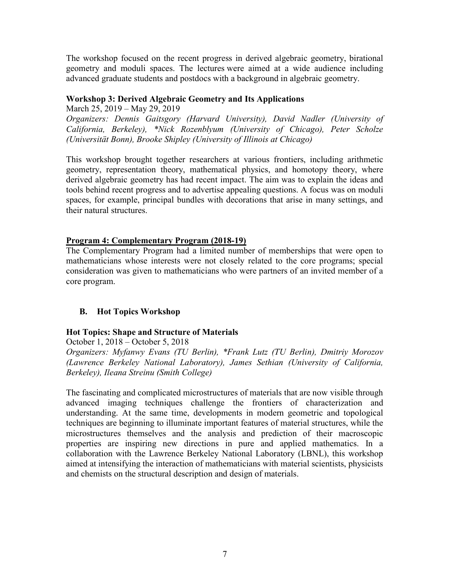The workshop focused on the recent progress in derived algebraic geometry, birational geometry and moduli spaces. The lectures were aimed at a wide audience including advanced graduate students and postdocs with a background in algebraic geometry.

# Workshop 3: Derived Algebraic Geometry and Its Applications

March 25, 2019 – May 29, 2019

Organizers: Dennis Gaitsgory (Harvard University), David Nadler (University of California, Berkeley), \*Nick Rozenblyum (University of Chicago), Peter Scholze (Universität Bonn), Brooke Shipley (University of Illinois at Chicago)

This workshop brought together researchers at various frontiers, including arithmetic geometry, representation theory, mathematical physics, and homotopy theory, where derived algebraic geometry has had recent impact. The aim was to explain the ideas and tools behind recent progress and to advertise appealing questions. A focus was on moduli spaces, for example, principal bundles with decorations that arise in many settings, and their natural structures.

### Program 4: Complementary Program (2018-19)

The Complementary Program had a limited number of memberships that were open to mathematicians whose interests were not closely related to the core programs; special consideration was given to mathematicians who were partners of an invited member of a core program.

# B. Hot Topics Workshop

### Hot Topics: Shape and Structure of Materials

October 1, 2018 – October 5, 2018

Organizers: Myfanwy Evans (TU Berlin), \*Frank Lutz (TU Berlin), Dmitriy Morozov (Lawrence Berkeley National Laboratory), James Sethian (University of California, Berkeley), Ileana Streinu (Smith College)

The fascinating and complicated microstructures of materials that are now visible through advanced imaging techniques challenge the frontiers of characterization and understanding. At the same time, developments in modern geometric and topological techniques are beginning to illuminate important features of material structures, while the microstructures themselves and the analysis and prediction of their macroscopic properties are inspiring new directions in pure and applied mathematics. In a collaboration with the Lawrence Berkeley National Laboratory (LBNL), this workshop aimed at intensifying the interaction of mathematicians with material scientists, physicists and chemists on the structural description and design of materials.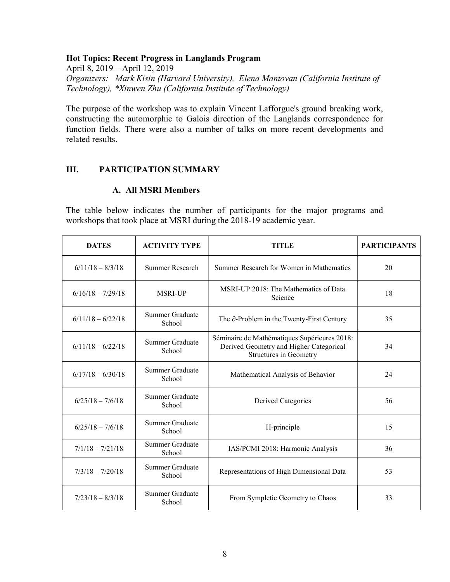### Hot Topics: Recent Progress in Langlands Program

April 8, 2019 – April 12, 2019 Organizers: Mark Kisin (Harvard University), Elena Mantovan (California Institute of Technology), \*Xinwen Zhu (California Institute of Technology)

The purpose of the workshop was to explain Vincent Lafforgue's ground breaking work, constructing the automorphic to Galois direction of the Langlands correspondence for function fields. There were also a number of talks on more recent developments and related results.

# III. PARTICIPATION SUMMARY

### A. All MSRI Members

The table below indicates the number of participants for the major programs and workshops that took place at MSRI during the 2018-19 academic year.

| <b>DATES</b>        | <b>ACTIVITY TYPE</b>             | <b>TITLE</b>                                                                                                             | <b>PARTICIPANTS</b> |
|---------------------|----------------------------------|--------------------------------------------------------------------------------------------------------------------------|---------------------|
| $6/11/18 - 8/3/18$  | Summer Research                  | Summer Research for Women in Mathematics                                                                                 | 20                  |
| $6/16/18 - 7/29/18$ | <b>MSRI-UP</b>                   | MSRI-UP 2018: The Mathematics of Data<br>Science                                                                         | 18                  |
| $6/11/18 - 6/22/18$ | Summer Graduate<br>School        | The $\partial$ -Problem in the Twenty-First Century                                                                      | 35                  |
| $6/11/18 - 6/22/18$ | Summer Graduate<br>School        | Séminaire de Mathématiques Supérieures 2018:<br>Derived Geometry and Higher Categorical<br><b>Structures in Geometry</b> | 34                  |
| $6/17/18 - 6/30/18$ | Summer Graduate<br>School        | Mathematical Analysis of Behavior                                                                                        | 24                  |
| $6/25/18 - 7/6/18$  | Summer Graduate<br>School        | Derived Categories                                                                                                       | 56                  |
| $6/25/18 - 7/6/18$  | <b>Summer Graduate</b><br>School | H-principle                                                                                                              | 15                  |
| $7/1/18 - 7/21/18$  | Summer Graduate<br>School        | IAS/PCMI 2018: Harmonic Analysis                                                                                         | 36                  |
| $7/3/18 - 7/20/18$  | Summer Graduate<br>School        | Representations of High Dimensional Data                                                                                 | 53                  |
| $7/23/18 - 8/3/18$  | Summer Graduate<br>School        | From Sympletic Geometry to Chaos                                                                                         | 33                  |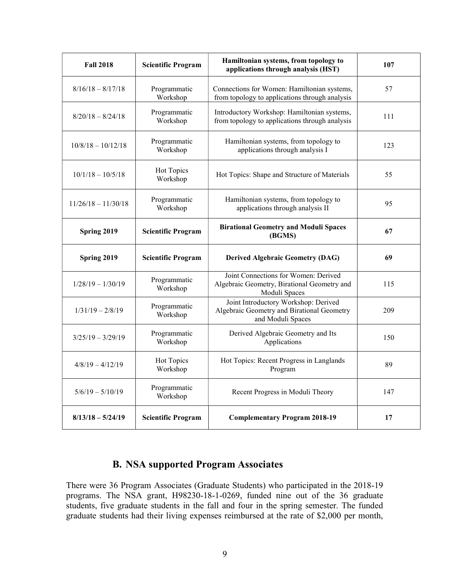| <b>Fall 2018</b>      | <b>Scientific Program</b> | Hamiltonian systems, from topology to<br>applications through analysis (HST)                            | 107 |
|-----------------------|---------------------------|---------------------------------------------------------------------------------------------------------|-----|
| $8/16/18 - 8/17/18$   | Programmatic<br>Workshop  | Connections for Women: Hamiltonian systems,<br>from topology to applications through analysis           | 57  |
| $8/20/18 - 8/24/18$   | Programmatic<br>Workshop  | Introductory Workshop: Hamiltonian systems,<br>from topology to applications through analysis           | 111 |
| $10/8/18 - 10/12/18$  | Programmatic<br>Workshop  | Hamiltonian systems, from topology to<br>applications through analysis I                                | 123 |
| $10/1/18 - 10/5/18$   | Hot Topics<br>Workshop    | Hot Topics: Shape and Structure of Materials                                                            | 55  |
| $11/26/18 - 11/30/18$ | Programmatic<br>Workshop  | Hamiltonian systems, from topology to<br>applications through analysis II                               | 95  |
| Spring 2019           | <b>Scientific Program</b> | <b>Birational Geometry and Moduli Spaces</b><br>(BGMS)                                                  | 67  |
| Spring 2019           | <b>Scientific Program</b> | <b>Derived Algebraic Geometry (DAG)</b>                                                                 | 69  |
| $1/28/19 - 1/30/19$   | Programmatic<br>Workshop  | Joint Connections for Women: Derived<br>Algebraic Geometry, Birational Geometry and<br>Moduli Spaces    | 115 |
| $1/31/19 - 2/8/19$    | Programmatic<br>Workshop  | Joint Introductory Workshop: Derived<br>Algebraic Geometry and Birational Geometry<br>and Moduli Spaces | 209 |
| $3/25/19 - 3/29/19$   | Programmatic<br>Workshop  | Derived Algebraic Geometry and Its<br>Applications                                                      | 150 |
| $4/8/19 - 4/12/19$    | Hot Topics<br>Workshop    | Hot Topics: Recent Progress in Langlands<br>Program                                                     | 89  |
| $5/6/19 - 5/10/19$    | Programmatic<br>Workshop  | Recent Progress in Moduli Theory                                                                        | 147 |
| $8/13/18 - 5/24/19$   | <b>Scientific Program</b> | <b>Complementary Program 2018-19</b>                                                                    | 17  |

# B. NSA supported Program Associates

There were 36 Program Associates (Graduate Students) who participated in the 2018-19 programs. The NSA grant, H98230-18-1-0269, funded nine out of the 36 graduate students, five graduate students in the fall and four in the spring semester. The funded graduate students had their living expenses reimbursed at the rate of \$2,000 per month,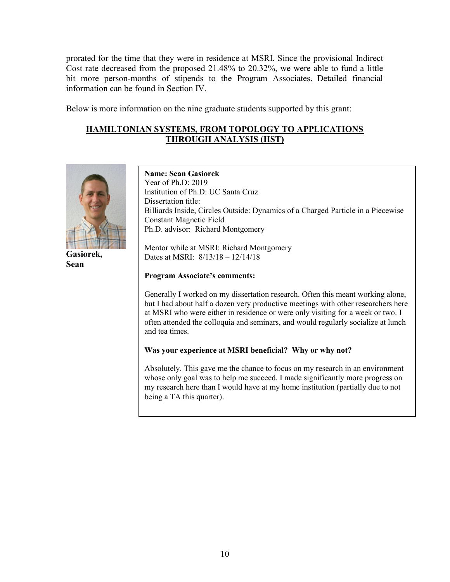prorated for the time that they were in residence at MSRI. Since the provisional Indirect Cost rate decreased from the proposed 21.48% to 20.32%, we were able to fund a little bit more person-months of stipends to the Program Associates. Detailed financial information can be found in Section IV.

Below is more information on the nine graduate students supported by this grant:

# HAMILTONIAN SYSTEMS, FROM TOPOLOGY TO APPLICATIONS THROUGH ANALYSIS (HST)



Gasiorek, Sean

Name: Sean Gasiorek Year of Ph.D: 2019 Institution of Ph.D: UC Santa Cruz Dissertation title: Billiards Inside, Circles Outside: Dynamics of a Charged Particle in a Piecewise Constant Magnetic Field Ph.D. advisor: Richard Montgomery

Mentor while at MSRI: Richard Montgomery Dates at MSRI: 8/13/18 – 12/14/18

#### Program Associate's comments:

Generally I worked on my dissertation research. Often this meant working alone, but I had about half a dozen very productive meetings with other researchers here at MSRI who were either in residence or were only visiting for a week or two. I often attended the colloquia and seminars, and would regularly socialize at lunch and tea times.

### Was your experience at MSRI beneficial? Why or why not?

Absolutely. This gave me the chance to focus on my research in an environment whose only goal was to help me succeed. I made significantly more progress on my research here than I would have at my home institution (partially due to not being a TA this quarter).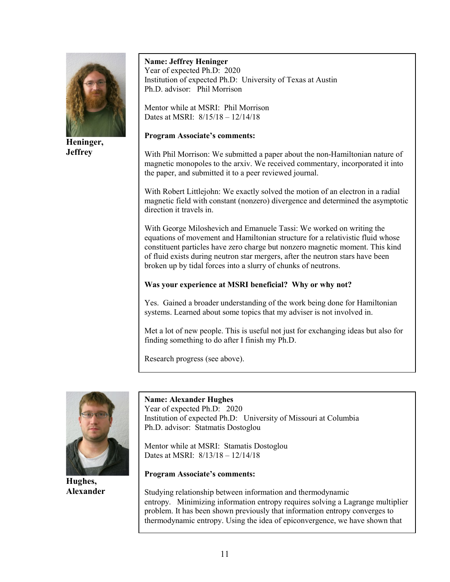

Heninger, **Jeffrey** 

### Name: Jeffrey Heninger Year of expected Ph.D: 2020 Institution of expected Ph.D: University of Texas at Austin Ph.D. advisor: Phil Morrison

Mentor while at MSRI: Phil Morrison Dates at MSRI: 8/15/18 – 12/14/18

### Program Associate's comments:

With Phil Morrison: We submitted a paper about the non-Hamiltonian nature of magnetic monopoles to the arxiv. We received commentary, incorporated it into the paper, and submitted it to a peer reviewed journal.

 direction it travels in. With Robert Littlejohn: We exactly solved the motion of an electron in a radial magnetic field with constant (nonzero) divergence and determined the asymptotic

With George Miloshevich and Emanuele Tassi: We worked on writing the equations of movement and Hamiltonian structure for a relativistic fluid whose constituent particles have zero charge but nonzero magnetic moment. This kind of fluid exists during neutron star mergers, after the neutron stars have been broken up by tidal forces into a slurry of chunks of neutrons.

# Was your experience at MSRI beneficial? Why or why not?

Yes. Gained a broader understanding of the work being done for Hamiltonian systems. Learned about some topics that my adviser is not involved in.

Met a lot of new people. This is useful not just for exchanging ideas but also for finding something to do after I finish my Ph.D.

Research progress (see above).



Hughes, Alexander

# Name: Alexander Hughes

Year of expected Ph.D: 2020 Institution of expected Ph.D: University of Missouri at Columbia Ph.D. advisor: Statmatis Dostoglou

Mentor while at MSRI: Stamatis Dostoglou Dates at MSRI: 8/13/18 – 12/14/18

### Program Associate's comments:

Studying relationship between information and thermodynamic entropy. Minimizing information entropy requires solving a Lagrange multiplier problem. It has been shown previously that information entropy converges to thermodynamic entropy. Using the idea of epiconvergence, we have shown that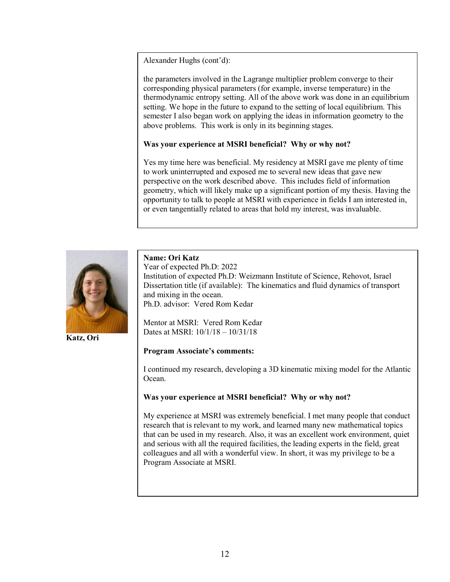Alexander Hughs (cont'd):

the parameters involved in the Lagrange multiplier problem converge to their corresponding physical parameters (for example, inverse temperature) in the thermodynamic entropy setting. All of the above work was done in an equilibrium setting. We hope in the future to expand to the setting of local equilibrium. This semester I also began work on applying the ideas in information geometry to the above problems. This work is only in its beginning stages.

#### Was your experience at MSRI beneficial? Why or why not?

Yes my time here was beneficial. My residency at MSRI gave me plenty of time to work uninterrupted and exposed me to several new ideas that gave new perspective on the work described above. This includes field of information geometry, which will likely make up a significant portion of my thesis. Having the opportunity to talk to people at MSRI with experience in fields I am interested in, or even tangentially related to areas that hold my interest, was invaluable.



Katz, Ori

#### Name: Ori Katz

Year of expected Ph.D: 2022 Institution of expected Ph.D: Weizmann Institute of Science, Rehovot, Israel Dissertation title (if available): The kinematics and fluid dynamics of transport and mixing in the ocean. Ph.D. advisor: Vered Rom Kedar

Mentor at MSRI: Vered Rom Kedar Dates at MSRI: 10/1/18 – 10/31/18

#### Program Associate's comments:

I continued my research, developing a 3D kinematic mixing model for the Atlantic Ocean.

#### Was your experience at MSRI beneficial? Why or why not?

My experience at MSRI was extremely beneficial. I met many people that conduct research that is relevant to my work, and learned many new mathematical topics that can be used in my research. Also, it was an excellent work environment, quiet and serious with all the required facilities, the leading experts in the field, great colleagues and all with a wonderful view. In short, it was my privilege to be a Program Associate at MSRI.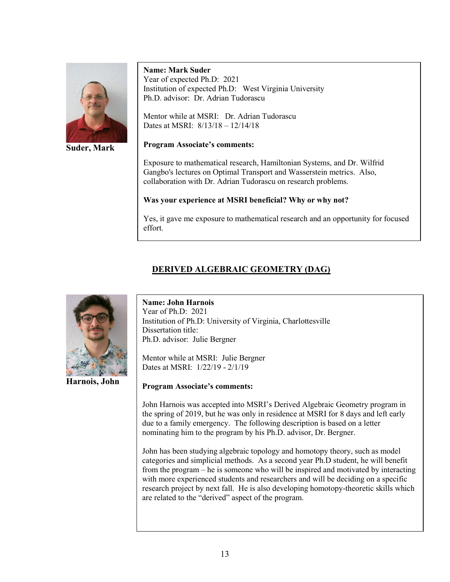

Suder, Mark

#### Name: Mark Suder

Year of expected Ph.D: 2021 Institution of expected Ph.D: West Virginia University Ph.D. advisor: Dr. Adrian Tudorascu

Mentor while at MSRI: Dr. Adrian Tudorascu Dates at MSRI: 8/13/18 – 12/14/18

#### Program Associate's comments:

Exposure to mathematical research, Hamiltonian Systems, and Dr. Wilfrid Gangbo's lectures on Optimal Transport and Wasserstein metrics. Also, collaboration with Dr. Adrian Tudorascu on research problems.

# Was your experience at MSRI beneficial? Why or why not?

Yes, it gave me exposure to mathematical research and an opportunity for focused effort.

# DERIVED ALGEBRAIC GEOMETRY (DAG)



Harnois, John

Name: John Harnois Year of Ph.D: 2021 Institution of Ph.D: University of Virginia, Charlottesville Dissertation title: Ph.D. advisor: Julie Bergner

Mentor while at MSRI: Julie Bergner Dates at MSRI: 1/22/19 - 2/1/19

### Program Associate's comments:

John Harnois was accepted into MSRI's Derived Algebraic Geometry program in the spring of 2019, but he was only in residence at MSRI for 8 days and left early due to a family emergency. The following description is based on a letter nominating him to the program by his Ph.D. advisor, Dr. Bergner.

John has been studying algebraic topology and homotopy theory, such as model categories and simplicial methods. As a second year Ph.D student, he will benefit from the program – he is someone who will be inspired and motivated by interacting with more experienced students and researchers and will be deciding on a specific research project by next fall. He is also developing homotopy-theoretic skills which are related to the "derived" aspect of the program.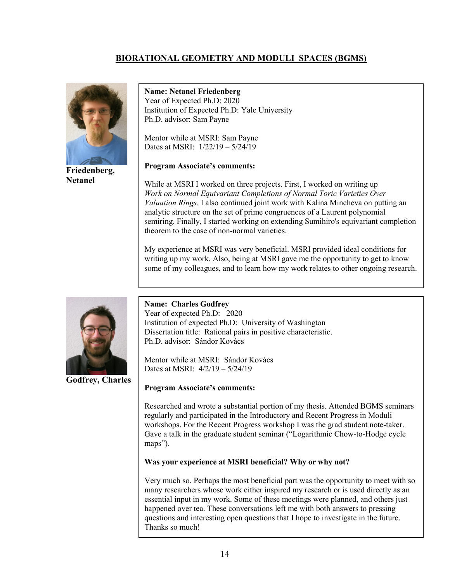# BIORATIONAL GEOMETRY AND MODULI SPACES (BGMS)



Friedenberg, Netanel

Name: Netanel Friedenberg Year of Expected Ph.D: 2020 Institution of Expected Ph.D: Yale University Ph.D. advisor: Sam Payne

Mentor while at MSRI: Sam Payne Dates at MSRI: 1/22/19 – 5/24/19

### Program Associate's comments:

While at MSRI I worked on three projects. First, I worked on writing up Work on Normal Equivariant Completions of Normal Toric Varieties Over Valuation Rings. I also continued joint work with Kalina Mincheva on putting an analytic structure on the set of prime congruences of a Laurent polynomial semiring. Finally, I started working on extending Sumihiro's equivariant completion theorem to the case of non-normal varieties.

My experience at MSRI was very beneficial. MSRI provided ideal conditions for writing up my work. Also, being at MSRI gave me the opportunity to get to know some of my colleagues, and to learn how my work relates to other ongoing research.



Godfrey, Charles

Name: Charles Godfrey Year of expected Ph.D: 2020 Institution of expected Ph.D: University of Washington Dissertation title: Rational pairs in positive characteristic. Ph.D. advisor: Sándor Kovács

Mentor while at MSRI: Sándor Kovács Dates at MSRI: 4/2/19 – 5/24/19

### Program Associate's comments:

Researched and wrote a substantial portion of my thesis. Attended BGMS seminars regularly and participated in the Introductory and Recent Progress in Moduli workshops. For the Recent Progress workshop I was the grad student note-taker. Gave a talk in the graduate student seminar ("Logarithmic Chow-to-Hodge cycle maps").

### Was your experience at MSRI beneficial? Why or why not?

Very much so. Perhaps the most beneficial part was the opportunity to meet with so many researchers whose work either inspired my research or is used directly as an essential input in my work. Some of these meetings were planned, and others just happened over tea. These conversations left me with both answers to pressing questions and interesting open questions that I hope to investigate in the future. Thanks so much!